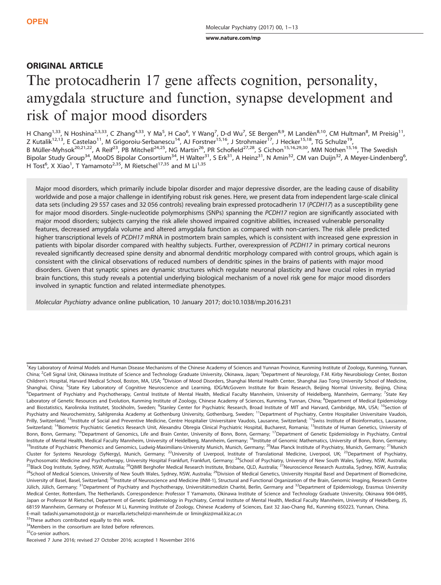[www.nature.com/mp](http://www.nature.com/mp)

# ORIGINAL ARTICLE

# The protocadherin 17 gene affects cognition, personality, amygdala structure and function, synapse development and risk of major mood disorders

H Chang<sup>1,33</sup>, N Hoshina<sup>2,3,33</sup>, C Zhang<sup>4,33</sup>, Y Ma<sup>5</sup>, H Cao<sup>6</sup>, Y Wang<sup>7</sup>, D-d Wu<sup>7</sup>, SE Bergen<sup>8,9</sup>, M Landén<sup>8,10</sup>, CM Hultman<sup>8</sup>, M Preisig<sup>11</sup>, Z Kutalik<sup>12,13</sup>, E Castelao<sup>11</sup>, M Grigoroiu-Serbanescu<sup>14</sup>, AJ Forstner<sup>15,16</sup>, J Strohmaier<sup>17</sup>, J Hecker<sup>15,18</sup>, TG Schulze<sup>19</sup>, B Müller-Myhsok<sup>20,21,22</sup>, A Reif<sup>23</sup>, PB Mitchell<sup>24,25</sup>, NG Martin<sup>26</sup>, PR Schofield<sup>27,28</sup>, S Cichon<sup>15,16,29,30</sup>, MM Nöthen<sup>15,16</sup>, The Swedish Bipolar Study Group<sup>34</sup>, MooDS Bipolar Consortium<sup>34</sup>, H Walter<sup>31</sup>, S Erk<sup>31</sup>, A Heinz<sup>31</sup>, N Amin<sup>32</sup>, CM van Duijn<sup>32</sup>, A Meyer-Lindenberg<sup>6</sup>, H Tost<sup>6</sup>, X Xiao<sup>1</sup>, T Yamamoto<sup>2,35</sup>, M Rietschel<sup>17,35</sup> and M Li<sup>1,35</sup>

Major mood disorders, which primarily include bipolar disorder and major depressive disorder, are the leading cause of disability worldwide and pose a major challenge in identifying robust risk genes. Here, we present data from independent large-scale clinical data sets (including 29 557 cases and 32 056 controls) revealing brain expressed protocadherin 17 (PCDH17) as a susceptibility gene for major mood disorders. Single-nucleotide polymorphisms (SNPs) spanning the PCDH17 region are significantly associated with major mood disorders; subjects carrying the risk allele showed impaired cognitive abilities, increased vulnerable personality features, decreased amygdala volume and altered amygdala function as compared with non-carriers. The risk allele predicted higher transcriptional levels of PCDH17 mRNA in postmortem brain samples, which is consistent with increased gene expression in patients with bipolar disorder compared with healthy subjects. Further, overexpression of PCDH17 in primary cortical neurons revealed significantly decreased spine density and abnormal dendritic morphology compared with control groups, which again is consistent with the clinical observations of reduced numbers of dendritic spines in the brains of patients with major mood disorders. Given that synaptic spines are dynamic structures which regulate neuronal plasticity and have crucial roles in myriad brain functions, this study reveals a potential underlying biological mechanism of a novel risk gene for major mood disorders involved in synaptic function and related intermediate phenotypes.

Molecular Psychiatry advance online publication, 10 January 2017; doi:[10.1038/mp.2016.231](http://dx.doi.org/10.1038/mp.2016.231)

<sup>1</sup>Key Laboratory of Animal Models and Human Disease Mechanisms of the Chinese Academy of Sciences and Yunnan Province, Kunming Institute of Zoology, Kunming, Yunnan, China; <sup>2</sup>Cell Signal Unit, Okinawa Institute of Science and Technology Graduate University, Okinawa, Japan; <sup>3</sup>Department of Neurology, F.M. Kirby Neurobiology Center, Boston Children's Hospital, Harvard Medical School, Boston, MA, USA; <sup>4</sup>Division of Mood Disorders, Shanghai Mental Health Center, Shanghai Jiao Tong University School of Medicine, Shanghai, China; <sup>5</sup>State Key Laboratory of Cognitive Neuroscience and Learning, IDG/McGovern Institute for Brain Research, Beijing Normal University, Beijing, China; <sup>6</sup>Department of Psychiatry and Psychotherapy, Central Institute of Mental Health, Medical Faculty Mannheim, University of Heidelberg, Mannheim, Germany; <sup>7</sup>State Key Laboratory of Genetic Resources and Evolution, Kunming Institute of Zoology, Chinese Academy of Sciences, Kunming, Yunnan, China; <sup>8</sup>Department of Medical Epidemiology and Biostatistics, Karolinska Institutet, Stockholm, Sweden; <sup>9</sup>Stanley Center for Psychiatric Research, Broad Institute of MIT and Harvard, Cambridge, MA, USA; <sup>10</sup>Section of Psychiatry and Neurochemistry, Sahlgrenska Academy at Gothenburg University, Gothenburg, Sweden; <sup>11</sup>Department of Psychiatry, Centre Hospitalier Universitaire Vaudois, Prilly, Switzerland; <sup>12</sup>Institute of Social and Preventive Medicine, Centre Hospitalier Universitaire Vaudois, Lausanne, Switzerland; <sup>13</sup>Swiss Institute of Bioinformatics, Lausanne, Switzerland; <sup>14</sup>Biometric Psychiatric Genetics Research Unit, Alexandru Obregia Clinical Psychiatric Hospital, Bucharest, Romania; <sup>15</sup>Institute of Human Genetics, University of Bonn, Bonn, Germany; <sup>16</sup>Department of Genomics, Life and Brain Center, University of Bonn, Bonn, Germany; <sup>17</sup>Department of Genetic Epidemiology in Psychiatry, Central Institute of Mental Health, Medical Faculty Mannheim, University of Heidelberg, Mannheim, Germany; <sup>18</sup>Institute of Genomic Mathematics, University of Bonn, Bonn, Germany; <sup>19</sup>Institute of Psychiatric Phenomics and Genomics, Ludwig-Maximilians-University Munich, Munich, Germany; <sup>20</sup>Max Planck Institute of Psychiatry, Munich, Germany; <sup>21</sup>Munich Cluster for Systems Neurology (SyNergy), Munich, Germany; <sup>22</sup>University of Liverpool, Institute of Translational Medicine, Liverpool, UK; <sup>23</sup>Department of Psychiatry, Psychosomatic Medicine and Psychotherapy, University Hospital Frankfurt, Frankfurt, Germany; <sup>24</sup>School of Psychiatry, University of New South Wales, Sydney, NSW, Australia; <sup>25</sup>Black Dog Institute, Sydney, NSW, Australia; <sup>26</sup>QIMR Berghofer Medical Research Institute, Brisbane, QLD, Australia; <sup>27</sup>Neuroscience Research Australia, Sydney, NSW, Australia; <sup>28</sup>School of Medical Sciences, University of New South Wales, Sydney, NSW, Australia; <sup>29</sup>Division of Medical Genetics, University Hospital Basel and Department of Biomedicine, University of Basel, Basel, Switzerland; <sup>30</sup>Institute of Neuroscience and Medicine (INM-1), Structural and Functional Organization of the Brain, Genomic Imaging, Research Centre Jülich, Jülich, Germany; <sup>31</sup>Department of Psychiatry and Psychotherapy, Universitätsmedizin Charité, Berlin, Germany and <sup>32</sup>Department of Epidemiology, Erasmus University Medical Center, Rotterdam, The Netherlands. Correspondence: Professor T Yamamoto, Okinawa Institute of Science and Technology Graduate University, Okinawa 904-0495, Japan or Professor M Rietschel, Department of Genetic Epidemiology in Psychiatry, Central Institute of Mental Health, Medical Faculty Mannheim, University of Heidelberg, J5, 68159 Mannheim, Germany or Professor M Li, Kunming Institute of Zoology, Chinese Academy of Sciences, East 32 Jiao-Chang Rd., Kunming 650223, Yunnan, China. E-mail: [tadashi.yamamoto@oist.jp](mailto:tadashi.yamamoto@oist.jp) or [marcella.rietschel@zi-mannheim.de](mailto:marcella.rietschel@zi-mannheim.de) or [limingkiz@mail.kiz.ac.cn](mailto:limingkiz@mail.kiz.ac.cn)

<sup>33</sup>These authors contributed equally to this work.

<sup>34</sup>Members in the consortium are listed before references.

35Co-senior authors.

Received 7 June 2016; revised 27 October 2016; accepted 1 November 2016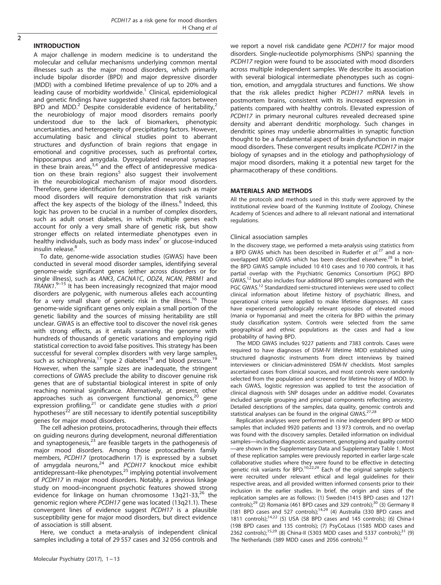# INTRODUCTION

A major challenge in modern medicine is to understand the molecular and cellular mechanisms underlying common mental illnesses such as the major mood disorders, which primarily include bipolar disorder (BPD) and major depressive disorder (MDD) with a combined lifetime prevalence of up to 20% and a leading cause of morbidity worldwide.<sup>[1](#page-10-0)</sup> Clinical, epidemiological and genetic findings have suggested shared risk factors between BPD and MDD.<sup>[2](#page-10-0)</sup> Despite considerable evidence of heritability.<sup>2</sup> the neurobiology of major mood disorders remains poorly understood due to the lack of biomarkers, phenotypic uncertainties, and heterogeneity of precipitating factors. However, accumulating basic and clinical studies point to aberrant structures and dysfunction of brain regions that engage in emotional and cognitive processes, such as prefrontal cortex, hippocampus and amygdala. Dysregulated neuronal synapses in these brain areas,  $3.4$  and the effect of antidepressive medica-tion on these brain regions<sup>[5](#page-10-0)</sup> also suggest their involvement in the neurobiological mechanism of major mood disorders. Therefore, gene identification for complex diseases such as major mood disorders will require demonstration that risk variants affect the key aspects of the biology of the illness.<sup>[6](#page-10-0)</sup> Indeed, this logic has proven to be crucial in a number of complex disorders, such as adult onset diabetes, in which multiple genes each account for only a very small share of genetic risk, but show stronger effects on related intermediate phenotypes even in healthy individuals, such as body mass index $\prime$  or glucose-induced insulin release.<sup>[8](#page-10-0)</sup>

To date, genome-wide association studies (GWAS) have been conducted in several mood disorder samples, identifying several genome-wide significant genes (either across disorders or for single illness), such as ANK3, CACNA1C, ODZ4, NCAN, PBRM1 and TRANK1.<sup>9-[15](#page-10-0)</sup> It has been increasingly recognized that major mood disorders are polygenic, with numerous alleles each accounting for a very small share of genetic risk in the illness.<sup>16</sup> Those genome-wide significant genes only explain a small portion of the genetic liability and the sources of missing heritability are still unclear. GWAS is an effective tool to discover the novel risk genes with strong effects, as it entails scanning the genome with hundreds of thousands of genetic variations and employing rigid statistical correction to avoid false positives. This strategy has been successful for several complex disorders with very large samples, such as schizophrenia,<sup>[17](#page-10-0)</sup> type 2 diabetes<sup>[18](#page-10-0)</sup> and blood pressure.<sup>[19](#page-10-0)</sup> However, when the sample sizes are inadequate, the stringent corrections of GWAS preclude the ability to discover genuine risk genes that are of substantial biological interest in spite of only reaching nominal significance. Alternatively, at present, other approaches such as convergent functional genomics,<sup>20</sup> gene approaches such as convergent functional genomics,<sup>[20](#page-10-0)</sup> expression profiling, $2<sup>1</sup>$  or candidate gene studies with *a priori*  $\frac{1}{2}$  are still necessary to identify potential susceptibility genes for major mood disorders.

The cell adhesion proteins, protocadherins, through their effects on guiding neurons during development, neuronal differentiation and synaptogenesis,<sup>[23](#page-10-0)</sup> are feasible targets in the pathogenesis of major mood disorders. Among those protocadherin family members, PCDH17 (protocadherin 17) is expressed by a subset of amygdala neurons, $^{24}$  $^{24}$  $^{24}$  and PCDH17 knockout mice exhibit antidepressant–like phenotypes, $25$  implying potential involvement of PCDH17 in major mood disorders. Notably, a previous linkage study on mood–incongruent psychotic features showed strong evidence for linkage on human chromosome  $13q21-33$ ,<sup>[26](#page-10-0)</sup> the genomic region where PCDH17 gene was located (13q21.1). These convergent lines of evidence suggest PCDH17 is a plausible susceptibility gene for major mood disorders, but direct evidence of association is still absent.

Here, we conduct a meta-analysis of independent clinical samples including a total of 29 557 cases and 32 056 controls and we report a novel risk candidate gene PCDH17 for major mood disorders. Single-nucleotide polymorphisms (SNPs) spanning the PCDH17 region were found to be associated with mood disorders across multiple independent samples. We describe its association with several biological intermediate phenotypes such as cognition, emotion, and amygdala structures and functions. We show that the risk alleles predict higher PCDH17 mRNA levels in postmortem brains, consistent with its increased expression in patients compared with healthy controls. Elevated expression of PCDH17 in primary neuronal cultures revealed decreased spine density and aberrant dendritic morphology. Such changes in dendritic spines may underlie abnormalities in synaptic function thought to be a fundamental aspect of brain dysfunction in major mood disorders. These convergent results implicate PCDH17 in the biology of synapses and in the etiology and pathophysiology of major mood disorders, making it a potential new target for the pharmacotherapy of these conditions.

### MATERIALS AND METHODS

All the protocols and methods used in this study were approved by the institutional review board of the Kunming Institute of Zoology, Chinese Academy of Sciences and adhere to all relevant national and international regulations.

### Clinical association samples

In the discovery stage, we performed a meta-analysis using statistics from a BPD GWAS which has been described in Ruderfer et  $aL^{27}$  $aL^{27}$  $aL^{27}$  and a non-overlapped MDD GWAS which has been described elsewhere.<sup>[28](#page-10-0)</sup> In brief, the BPD GWAS sample included 10 410 cases and 10 700 controls, it has partial overlap with the Psychiatric Genomics Consortium (PGC) BPD GWAS,<sup>12</sup> but also includes four additional BPD samples compared with the PGC GWAS.<sup>12</sup> Standardized semi-structured interviews were used to collect clinical information about lifetime history of psychiatric illness, and operational criteria were applied to make lifetime diagnoses. All cases have experienced pathologically relevant episodes of elevated mood (mania or hypomania) and meet the criteria for BPD within the primary study classification system. Controls were selected from the same geographical and ethnic populations as the cases and had a low probability of having BPD.

The MDD GWAS includes 9227 patients and 7383 controls. Cases were required to have diagnoses of DSM-IV lifetime MDD established using structured diagnostic instruments from direct interviews by trained interviewers or clinician-administered DSM-IV checklists. Most samples ascertained cases from clinical sources, and most controls were randomly selected from the population and screened for lifetime history of MDD. In each GWAS, logistic regression was applied to test the association of clinical diagnosis with SNP dosages under an additive model. Covariates included sample grouping and principal components reflecting ancestry. Detailed descriptions of the samples, data quality, genomic controls and statistical analyses can be found in the original GWAS. $27,28$ 

Replication analyses were performed in nine independent BPD or MDD samples that included 9920 patients and 13 973 controls, and no overlap was found with the discovery samples. Detailed information on individual samples—including diagnostic assessment, genotyping and quality control —are shown in the Supplementary Data and Supplementary Table 1. Most of these replication samples were previously reported in earlier large-scale collaborative studies where they were found to be effective in detecting genetic risk variants for BPD.<sup>[10,22,29](#page-10-0)</sup> Each of the original sample subjects were recruited under relevant ethical and legal guidelines for their respective areas, and all provided written informed consents prior to their inclusion in the earlier studies. In brief, the origin and sizes of the replication samples are as follows: (1) Sweden (1415 BPD cases and 1271 controls);<sup>[29](#page-10-0)</sup> (2) Romania (461 BPD cases and 329 controls);<sup>[30](#page-10-0)</sup> (3) Germany II (181 BPD cases and 527 controls); $14,29$  (4) Australia (330 BPD cases and 1811 controls); $14,22$  $14,22$  (5) USA (58 BPD cases and 145 controls); (6) China-I (198 BPD cases and 135 controls); (7) PsyCoLaus (1585 MDD cases and 2362 controls);<sup>[15,29](#page-10-0)</sup> (8) China-II (5303 MDD cases and 5337 controls);<sup>[31](#page-10-0)</sup> (9) The Netherlands (389 MDD cases and 2056 controls).<sup>[32](#page-10-0)</sup>

 $\overline{2}$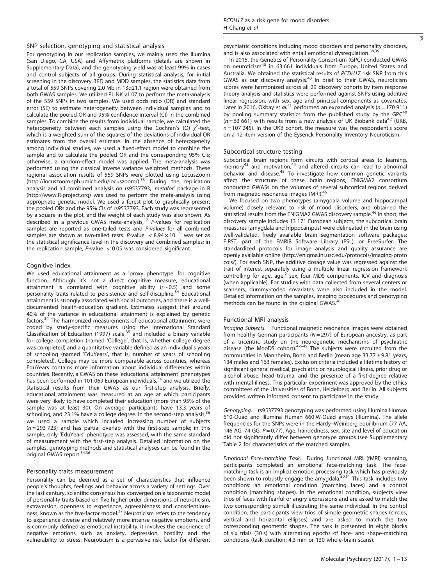For genotyping in our replication samples, we mainly used the Illumina (San Diego, CA, USA) and Affymetrix platforms (details are shown in Supplementary Data), and the genotyping yield was at least 99% in cases and control subjects of all groups. During statistical analysis, for initial screening in the discovery BPD and MDD samples, the statistics data from a total of 559 SNPs covering 2.0 Mb in 13q21.1 region were obtained from both GWAS samples. We utilized PLINK v1.07 to perform the meta-analysis of the 559 SNPs in two samples. We used odds ratio (OR) and standard error (SE) to estimate heterogeneity between individual samples and to calculate the pooled OR and 95% confidence interval (CI) in the combined samples. To combine the results from individual sample, we calculated the heterogeneity between each samples using the Cochran's (Q)  $\chi^2$ -test, which is a weighted sum of the squares of the deviations of individual OR estimates from the overall estimate. In the absence of heterogeneity among individual studies, we used a fixed-effect model to combine the sample and to calculate the pooled OR and the corresponding 95% CIs; otherwise, a random-effect model was applied. The meta-analysis was performed using the classical inverse variance weighted methods. These regional association results of 559 SNPs were plotted using LocusZoom [\(http://locuszoom.sph.umich.edu/locuszoom/\)](http://locuszoom.sph.umich.edu/locuszoom/). $33$  During the replication analysis and all combined analysis on rs9537793, 'metafor' package in R [\(http://www.R-project.org\)](http://www.R-project.org) was used to perform the meta-analysis using appropriate genetic model. We used a forest plot to graphically present the pooled ORs and the 95% CIs of rs9537793. Each study was represented by a square in the plot, and the weight of each study was also shown. As<br>described in a previous GWAS meta-analysis,<sup>[12](#page-10-0)</sup> P-values for replication samples are reported as one-tailed tests and P-values for all combined samples are shown as two-tailed tests. P-value  $< 8.94 \times 10^{-5}$  was set as the statistical significance level in the discovery and combined samples; in the replication sample,  $P$ -value  $< 0.05$  was considered significant.

### Cognitive index

We used educational attainment as a 'proxy phenotype' for cognitive function. Although it's not a direct cognitive measure, educational attainment is correlated with cognitive ability  $(r \sim 0.5)$  and some personality traits related to persistence and self-discipline.<sup>[34](#page-11-0)</sup> Educational attainment is strongly associated with social outcomes, and there is a welldocumented health-education gradient. Estimates suggest that around 40% of the variance in educational attainment is explained by genetic factors.[34](#page-11-0) The harmonized measurements of educational attainment were coded by study-specific measures using the International Standard Classification of Education (1997) scale,<sup>[35](#page-11-0)</sup> and included a binary variable for college completion (named 'College', that is, whether college degree was completed) and a quantitative variable defined as an individual's years of schooling (named 'EduYears', that is, number of years of schooling completed). College may be more comparable across countries, whereas EduYears contains more information about individual differences within countries. Recently, a GWAS on these 'educational attainment' phenotypes has been performed in 101 069 European individuals, $34$  and we utilized the statistical results from their GWAS as our first-step analysis. Briefly, educational attainment was measured at an age at which participants were very likely to have completed their education (more than 95% of the sample was at least 30). On average, participants have 13.3 years of schooling, and 23.1% have a college degree. In the second-step analysis, $3\overline{5}$ we used a sample which included increasing number of subjects  $(n = 293 723)$  and has partial overlap with the first-step sample; in this sample, only 'EduYears' phenotype was assessed, with the same standard of measurement with the first-step analysis. Detailed information on the samples, genotyping methods and statistical analyses can be found in the original GWAS report.<sup>[34,36](#page-11-0)</sup>

#### Personality traits measurement

Personality can be deemed as a set of characteristics that influence people's thoughts, feelings and behavior across a variety of settings. Over the last century, scientific consensus has converged on a taxonomic model of personality traits based on five higher-order dimensions of neuroticism, extraversion, openness to experience, agreeableness and conscientious-<br>ness, known as the five-factor model.<sup>[37](#page-11-0)</sup> Neuroticism refers to the tendency to experience diverse and relatively more intense negative emotions, and is commonly defined as emotional instability; it involves the experience of negative emotions such as anxiety, depression, hostility and the vulnerability to stress. Neuroticism is a pervasive risk factor for different

In 2015, the Genetics of Personality Consortium (GPC) conducted GWAS on neuroticis[m40](#page-11-0) in 63 661 individuals from Europe, United States and Australia. We obtained the statistical results of PCDH17 risk SNP from this GWAS as our discovery analysis.<sup>40</sup> In brief to their GWAS, neuroticism scores were harmonized across all 29 discovery cohorts by item response theory analysis and statistics were performed against SNPs using additive linear regression, with sex, age and principal components as covariates. Later in 2016, Okbay et al.<sup>[41](#page-11-0)</sup> performed an expanded analysis ( $n = 170911$ ) by pooling summary statistics from the published study by the  $GPC<sup>4</sup>$  $(n=63,661)$  with results from a new analysis of UK Biobank data<sup>42</sup> (UKB,  $n = 107 245$ ). In the UKB cohort, the measure was the respondent's score on a 12-item version of the Eysenck Personality Inventory Neuroticism.

#### Subcortical structure testing

Subcortical brain regions form circuits with cortical areas to learning, memory<sup>[43](#page-11-0)</sup> and motivation,<sup>[44](#page-11-0)</sup> and altered circuits can lead to abnormal behavior and disease.<sup>45</sup> To investigate how common genetic variants affect the structure of these brain regions, ENIGMA2 consortium conducted GWASs on the volumes of several subcortical regions derived from magnetic resonance images (MRI).<sup>[46](#page-11-0)</sup>

We focused on two phenotypes (amygdala volume and hippocampal volume) closely relevant to risk of mood disorders, and obtained the statistical results from the ENIGMA2 GWAS discovery sample.[46](#page-11-0) In short, the discovery sample includes 13 171 European subjects, the subcortical brain measures (amygdala and hippocampus) were delineated in the brain using well-validated, freely available brain segmentation software packages: FIRST, part of the FMRIB Software Library (FSL), or FreeSurfer. The standardized protocols for image analysis and quality assurance are openly available online [\(http://enigma.ini.usc.edu/protocols/imaging-proto](http://enigma.ini.usc.edu/protocols/imaging-protocols/) [cols/](http://enigma.ini.usc.edu/protocols/imaging-protocols/)). For each SNP, the additive dosage value was regressed against the trait of interest separately using a multiple linear regression framework controlling for age, age, $^2$  sex, four MDS components, ICV and diagnosis (when applicable). For studies with data collected from several centers or scanners, dummy-coded covariates were also included in the model. Detailed information on the samples, imaging procedures and genotyping methods can be found in the original GWAS.<sup>4</sup>

#### Functional MRI analysis

Imaging Subjects. Functional magnetic resonance images were obtained from healthy German participants ( $N = 297$ ) of European ancestry, as part of a tricentric study on the neurogenetic mechanisms of psychiatric disease (the MooDS cohort).<sup>47–49</sup> The subjects were recruited from the communities in Mannheim, Bonn and Berlin (mean age 33.77 ± 9.81 years, 134 males and 163 females). Exclusion criteria included a lifetime history of significant general medical, psychiatric or neurological illness, prior drug or alcohol abuse, head trauma, and the presence of a first-degree relative with mental illness. This particular experiment was approved by the ethics committees of the Universities of Bonn, Heidelberg and Berlin. All subjects provided written informed consent to participate in the study.

Genotyping. rs9537793 genotyping was performed using Illumina Human 610-Quad and Illumina Human 660 W-Quad arrays (Illumina). The allele frequencies for the SNPs were in the Hardy–Weinberg equilibrium (77 AA, 146 AG, 74 GG,  $P = 0.77$ ). Age, handedness, sex, site and level of education did not significantly differ between genotype groups (see Supplementary Table 2 for characteristics of the matched sample).

Emotional Face-matching Task. During functional MRI (fMRI) scanning, participants completed an emotional face-matching task. The facematching task is an implicit emotion processing task which has previously been shown to robustly engage the amygdala.[50,51](#page-11-0) This task includes two conditions: an emotional condition (matching faces) and a control condition (matching shapes). In the emotional condition, subjects view trios of faces with fearful or angry expressions and are asked to match the two corresponding stimuli illustrating the same individual. In the control condition, the participants view trios of simple geometric shapes (circles, vertical and horizontal ellipses) and are asked to match the two corresponding geometric shapes. The task is presented in eight blocks of six trials (30 s) with alternating epochs of face- and shape-matching conditions (task duration: 4.3 min or 130 whole-brain scans).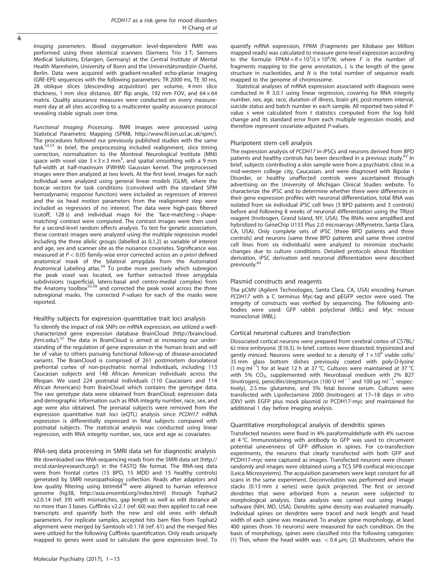Imaging parameters. Blood oxygenation level-dependent fMRI was performed using three identical scanners (Siemens Trio 3 T; Siemens Medical Solutions, Erlangen, Germany) at the Central Institute of Mental Health Mannheim, University of Bonn and the Universitätsmedizin Charité, Berlin. Data were acquired with gradient-recalled echo-planar imaging (GRE-EPI) sequences with the following parameters: TR 2000 ms, TE 30 ms, 28 oblique slices (descending acquisition) per volume, 4 mm slice thickness, 1 mm slice distance, 80° flip angle, 192 mm FOV, and  $64 \times 64$ matrix. Quality assurance measures were conducted on every measurement day at all sites according to a multicenter quality assurance protocol revealing stable signals over time.

Functional Imaging Processing. fMRI images were processed using Statistical Parametric Mapping (SPM8, http://www.fi[l.ion.ucl.ac.uk/spm/\)](http://www.fil.ion.ucl.ac.uk/spm/). The procedures followed our previously published studies with the same task.<sup>52,53</sup> In brief, the preprocessing included realignment, slice timing correction, normalization to the Montreal Neurological Institute (MNI) space with voxel size  $3 \times 3 \times 3$  mm<sup>3</sup>, and spatial smoothing with a 9 mm full-width at half-maximum (FWHM) Gaussian kernel. The preprocessed images were then analyzed at two levels. At the first level, images for each individual were analyzed using general linear models (GLM), where the boxcar vectors for task conditions (convolved with the standard SPM hemodynamic response function) were included as regressors of interest and the six head motion parameters from the realignment step were included as regressors of no interest. The data were high-pass filtered (cutoff, 128 s) and individual maps for the 'face-matching  $>$  shapematching' contrast were computed. The contrast images were then used for a second-level random effects analysis. To test for genetic association, these contrast images were analyzed using the multiple regression model including the three allelic groups (labelled as 0,1,2) as variable of interest and age, sex and scanner site as the nuisance covariates. Significance was measured at  $P < 0.05$  family-wise error corrected across an a priori defined anatomical mask of the bilateral amygdala from the Automated Anatomical Labeling atlas.<sup>[54](#page-11-0)</sup> To probe more precisely which subregion the peak voxel was located, we further extracted three amygdala subdivisions (superficial, latero-basal and centro-medial complex) from the Anatomy toolbox<sup>55,56</sup> and corrected the peak voxel across the three subregional masks. The corrected P-values for each of the masks were reported.

# Healthy subjects for expression quantitative trait loci analysis

To identify the impact of risk SNPs on mRNA expression, we utilized a wellcharacterized gene expression database BrainCloud [\(http://braincloud.](http://braincloud.jhmi.edu/) ihmi.edu/).<sup>[57](#page-11-0)</sup> The data in BrainCloud is aimed at increasing our understanding of the regulation of gene expression in the human brain and will be of value to others pursuing functional follow-up of disease-associated variants. The BrainCloud is comprised of 261 postmortem dorsolateral prefrontal cortex of non-psychiatric normal individuals, including 113 Caucasian subjects and 148 African American individuals across the lifespan. We used 224 postnatal individuals (110 Caucasians and 114 African Americans) from BrainCloud which contains the genotype data. The raw genotype data were obtained from BrainCloud; expression data and demographic information such as RNA integrity number, race, sex, and age were also obtained. The prenatal subjects were removed from the expression quantitative trait loci (eQTL) analysis since PCDH17 mRNA expression is differentially expressed in fetal subjects compared with postnatal subjects. The statistical analysis was conducted using linear regression, with RNA integrity number, sex, race and age as covariates.

RNA-seq data processing in SMRI data set for diagnostic analysis We downloaded raw RNA-sequencing reads from the SMRI data set ([http://](http://sncid.stanleyresearch.org/) [sncid.stanleyresearch.org/](http://sncid.stanleyresearch.org/)) in the FASTQ file format. The RNA-seq data were from frontal cortex (15 BPD, 15 MDD and 15 healthy controls) generated by SMRI neuropathology collection. Reads after adaptors and<br>low quality filtering using btrim64<sup>[58](#page-11-0)</sup> were aligned to human reference genome (hg38,<http://asia.ensembl.org/index.html>) through Tophat2 v2.0.14 ([ref. 59](#page-11-0)) with mismatches, gap length as well as edit distance all no more than 3 bases. Cufflinks v2.2.1 [\(ref. 60\)](#page-11-0) was then applied to call new transcripts and quantify both the new and old ones with default parameters. For replicate samples, accepted hits bam files from Tophat2 alignment were merged by Samtools v0.1.18 ([ref. 61\)](#page-11-0) and the merged files were utilized for the following Cufflinks quantification. Only reads uniquely mapped to genes were used to calculate the gene expression level. To quantify mRNA expression, FPKM (Fragments per Kilobase per Million mapped reads) was calculated to measure gene-level expression according to the formula: FPKM =  $R \times 10^3 / L \times 10^6 / N$ ; where F is the number of fragments mapping to the gene annotation, L is the length of the gene structure in nucleotides, and N is the total number of sequence reads mapped to the genome of chromosome.

Statistical analyses of mRNA expression associated with diagnosis were conducted in R 3.0.1 using linear regression, covaring for RNA integrity number, sex, age, race, duration of illness, brain pH, post-mortem interval, suicide status and batch number in each sample. All reported two-sided Pvalue s were calculated from  $t$  statistics computed from the log fold change and its standard error from each multiple regression model, and therefore represent covariate-adjusted P-values.

#### Pluripotent stem cell analysis

The expression analysis of PCDH17 in iPSCs and neurons derived from BPD patients and healthy controls has been described in a previous study.<sup>[62](#page-11-0)</sup> In brief, subjects contributing a skin sample were from a psychiatric clinic in a mid-western college city, Caucasian, and were diagnosed with Bipolar I Disorder, or healthy unaffected controls were ascertained through advertising on the University of Michigan Clinical Studies website. To characterize the iPSC and to determine whether there were differences in their gene expression profiles with neuronal differentiation, total RNA was isolated from six individual iPSC cell lines (3 BPD patients and 3 controls) before and following 8 weeks of neuronal differentiation using the TRIzol reagent (Invitrogen, Grand Island, NY, USA). The RNAs were amplified and hybridized to GeneChip U133 Plus 2.0 microarrays (Affymetrix, Santa Clara, CA, USA). Only complete sets of iPSC (three BPD patients and three controls) and neurons (same three BPD patients and same three control cell lines from six individuals) were analyzed to minimize stochastic changes due to culture conditions. Detailed protocols about fibroblast derivation, iPSC derivation and neuronal differentiation were described<br>previously.<sup>[62](#page-11-0)</sup>

#### Plasmid constructs and reagents

The pCMV (Agilent Technologies, Santa Clara, CA, USA) encoding human PCDH17 with a C terminus Myc-tag and pEGFP vector were used. The integrity of constructs was verified by sequencing. The following antibodies were used: GFP rabbit polyclonal (MBL) and Myc mouse monoclonal (MBL).

#### Cortical neuronal cultures and transfection

Dissociated cortical neurons were prepared from cerebral cortex of C57BL/ 6J mice embryonic (E16.5). In brief, cortices were dissected, trypsinized and gently minced. Neurons were seeded to a density of  $1 \times 10^6$  viable cells/ 35 mm glass bottom dishes previously coated with poly-D-lysine (1 mg ml<sup>2</sup>) for at least 12 h at 37 °C. Cultures were maintained at 37 °C with 5% CO<sub>2</sub>, supplemented with Neurobasal medium with 2% B27 (Invitrogen), penicillin/streptomycin (100 U ml<sup>-1</sup> and 100 μg ml<sup>-1</sup>, respectively), 2.5 mm glutamine, and 5% fetal bovine serum. Cultures were transfected with Lipofectamine 2000 (Invitrogen) at 17–18 days in vitro (DIV) with EGFP plus mock plasmid or PCDH17-myc and maintained for additional 1 day before imaging analysis.

#### Quantitative morphological analysis of dendritic spines

Transfected neurons were fixed in 4% paraformaldehyde with 4% sucrose at 4 °C. Immunostaining with antibody to GFP was used to circumvent potential unevenness of GFP diffusion in spines. For co-transfection experiments, the neurons that clearly transfected with both GFP and PCDH17-myc were captured as images. Transfected neurons were chosen randomly and images were obtained using a TCS SP8 confocal microscope (Leica Microsystems). The acquisition parameters were kept constant for all scans in the same experiment. Deconvolution was performed and image stacks (0.13 mm z series) were quick projected. The first or second dendrites that were arborized from a neuron were subjected to morphological analysis. Data analysis was carried out using ImageJ software (NIH, MD, USA). Dendritic spine density was evaluated manually. Individual spines on dendrites were traced and neck length and head width of each spine was measured. To analyze spine morphology, at least 400 spines (from 16 neurons) were measured for each condition. On the basis of morphology, spines were classified into the following categories: (1) Thin, where the head width was  $< 0.4$  µm; (2) Mushroom, where the

4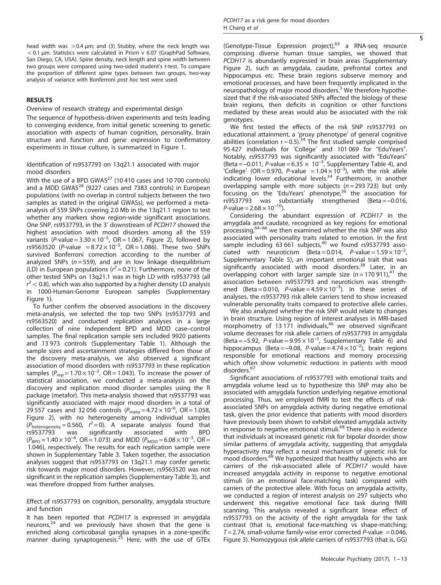head width was  $>0.4$  μm; and (3) Stubby, where the neck length was  $<$  0.1 µm. Statistics were calculated in Prism v 6.07 (GraphPad Software, San Diego, CA, USA). Spine density, neck length and spine width between two groups were compared using two-sided student's t-test. To compare the proportion of different spine types between two groups, two-way analysis of variance with Bonferroni post hoc test were used.

# RESULTS

# Overview of research strategy and experimental design

The sequence of hypothesis-driven experiments and tests leading to converging evidence, from initial genetic screening to genetic association with aspects of human cognition, personality, brain structure and function and gene expression to confirmatory experiments in tissue culture, is summarized in [Figure 1](#page-5-0).

# Identification of rs9537793 on 13q21.1 associated with major mood disorders

With the use of a BPD GWAS<sup>[27](#page-10-0)</sup> (10 410 cases and 10 700 controls) and a MDD GWAS $^{28}$  $^{28}$  $^{28}$  (9227 cases and 7383 controls) in European populations (with no overlap in control subjects between the two samples as stated in the original GWASs), we performed a metaanalysis of 559 SNPs covering 2.0 Mb in the 13q21.1 region to test whether any markers show region-wide significant associations. One SNP, rs9537793, in the 3' downstream of PCDH17 showed the highest association with mood disorders among all the 559 variants (P-value =  $3.30 \times 10^{-5}$ , OR = 1.067, [Figure 2\)](#page-6-0), followed by rs9563520 (P-value =  $8.72 \times 10^{-5}$ , OR = 1.086). These two SNPs survived Bonferroni correction according to the number of analyzed SNPs ( $n = 559$ ), and are in low linkage disequilibrium (LD) in European populations ( $r^2$  = 0.21). Furthermore, none of the other tested SNPs on 13q21.1 was in high LD with rs9537793 (all  $r^2$  < 0.8), which was also supported by a higher density LD analysis in 1000-Human-Genome European samples (Supplementary Figure 1).

To further confirm the observed associations in the discovery meta-analysis, we selected the top two SNPs (rs9537793 and rs9563520) and conducted replication analyses in a large collection of nine independent BPD and MDD case–control samples. The final replication sample sets included 9920 patients and 13 973 controls (Supplementary Table 1). Although the sample sizes and ascertainment strategies differed from those of the discovery meta-analysis, we also observed a significant association of mood disorders with rs9537793 in these replication samples ( $P_{\text{rep}} = 1.70 \times 10^{-2}$ , OR = 1.043). To increase the power of statistical association, we conducted a meta-analysis on the discovery and replication mood disorder samples using the R package (metafor). This meta-analysis showed that rs9537793 was significantly associated with major mood disorders in a total of 29 557 cases and 32 056 controls  $(P_{\text{meta}} = 4.72 \times 10^{-6}, \text{ OR} = 1.058,$ [Figure 2](#page-6-0)), with no heterogeneity among individual samples  $(P_{\text{heterogeneity}} = 0.560, P^2 = 0)$ . A separate analysis found that rs9537793 was significantly associated with BPD  $(P_{\text{BPD}} = 1.40 \times 10^{-4}$ , OR = 1.073) and MDD  $(P_{\text{MDD}} = 6.08 \times 10^{-3}$ , OR = 1.046), respectively. The results for each replication sample were shown in Supplementary Table 3. Taken together, the association analyses suggest that rs9537793 on 13q21.1 may confer genetic risk towards major mood disorders. However, rs9563520 was not significant in the replication samples (Supplementary Table 3), and was therefore dropped from further analyses.

Effect of rs9537793 on cognition, personality, amygdala structure and function

It has been reported that PCDH17 is expressed in amygdala neurons, $24$  and we previously have shown that the gene is enriched along corticobasal ganglia synapses in a zone-specific manner during synaptogenesis.<sup>[25](#page-10-0)</sup> Here, with the use of GTEx (Genotype-Tissue Expression project), $^{63}$  $^{63}$  $^{63}$  a RNA-seq resource comprising diverse human tissue samples, we showed that PCDH17 is abundantly expressed in brain areas (Supplementary Figure 2), such as amygdala, caudate, prefrontal cortex and hippocampus etc. These brain regions subserve memory and emotional processes, and have been frequently implicated in the neuropathology of major mood disorders.<sup>[3](#page-10-0)</sup> We therefore hypothesized that if the risk-associated SNPs affected the biology of these brain regions, then deficits in cognition or other functions mediated by these areas would also be associated with the risk genotypes.

We first tested the effects of the risk SNP rs9537793 on educational attainment, a 'proxy phenotype' of general cognitive abilities (correlation  $r \sim 0.5$ ).<sup>[34](#page-11-0)</sup> The first studied sample comprised 95 427 individuals for 'College' and 101 069 for "EduYears". Notably, rs9537793 was significantly associated with "EduYears" (Beta =  $-0.011$ , P-value = 6.35  $\times$  10<sup>-3</sup>, Supplementary Table 4), and 'College' (OR = 0.970, P-value =  $1.04 \times 10^{-3}$ ), with the risk allele indicating lower educational levels.[34](#page-11-0) Furthermore, in another overlapping sample with more subjects ( $n = 293$  723) but only focusing on the 'EduYears' phenotype,<sup>[36](#page-11-0)</sup> the association for rs9537793 was substantially strengthened (Beta = –0.016,  $P$ -value = 2.68  $\times$  10<sup>-10</sup>).

Considering the abundant expression of PCDH17 in the amygdala and caudate, recognized as key regions for emotional processing,[64](#page-11-0)–<sup>66</sup> we then examined whether the risk SNP was also associated with personality traits related to emotion. In the first sample including  $63661$  subjects,<sup>[40](#page-11-0)</sup> we found rs9537793 associated with neuroticism (Beta = 0.014, P-value =  $1.59 \times 10^{-2}$ , , Supplementary Table 5), an important emotional trait that was significantly associated with mood disorders.<sup>[38](#page-11-0)</sup> Later, in an overlapping cohort with larger sample size  $(n = 170911)<sup>41</sup>$  $(n = 170911)<sup>41</sup>$  $(n = 170911)<sup>41</sup>$  the association between rs9537793 and neuroticism was strengthened (Beta = 0.010, P-value =  $4.59 \times 10^{-3}$ ). In these series of analyses, the rs9537793 risk allele carriers tend to show increased vulnerable personality traits compared to protective allele carries.

We also analyzed whether the risk SNP would relate to changes in brain structure. Using region of interest analyses in MRI-based morphometry of 13 171 individuals,<sup>[46](#page-11-0)</sup> we observed significant volume decreases for risk allele carriers of rs9537793 in amygdala (Beta =  $-5.92$ , P-value =  $9.95 \times 10^{-3}$ , Supplementary Table 6) and hippocampus (Beta = -9.08, P-value =  $4.74 \times 10^{-2}$ ), brain regions responsible for emotional reactions and memory processing which often show volumetric reductions in patients with mood disorders.<sup>[67](#page-11-0)</sup>

Significant associations of rs9537793 with emotional traits and amygdala volume lead us to hypothesize this SNP may also be associated with amygdala function underlying negative emotional processing. Thus, we employed fMRI to test the effects of riskassociated SNPs on amygdala activity during negative emotional task, given the prior evidence that patients with mood disorders have previously been shown to exhibit elevated amygdala activity in response to negative emotional stimuli.<sup>[68](#page-11-0)</sup> There also is evidence that individuals at increased genetic risk for bipolar disorder show similar patterns of amygdala activity, suggesting that amygdala hyperactivity may reflect a neural mechanism of genetic risk for mood disorders.<sup>[69](#page-11-0)</sup> We hypothesized that healthy subjects who are carriers of the risk-associated allele of PCDH17 would have increased amygdala activity in response to negative emotional stimuli (in an emotional face-matching task) compared with carriers of the protective allele. With focus on amygdala activity, we conducted a region of interest analysis on 297 subjects who underwent this negative emotional face task during fMRI scanning. This analysis revealed a significant linear effect of rs9537793 on the activity of the right amygdala for the task contrast (that is, emotional face-matching vs shape-matching;  $T = 2.74$ , small-volume family-wise error corrected P-value = 0.046, [Figure 3](#page-6-0)). Homozygous risk allele carriers of rs9537793 (that is, GG)

5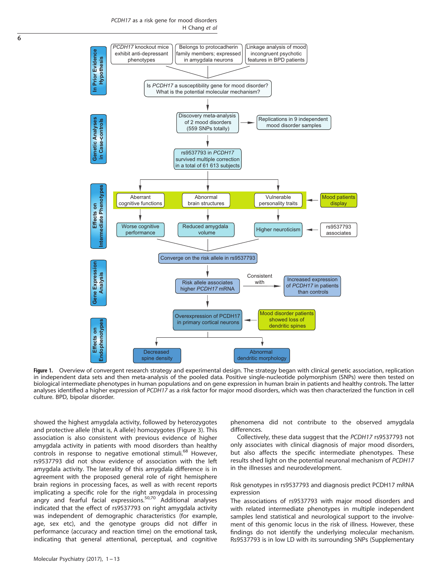PCDH17 as a risk gene for mood disorders H Chang et al

<span id="page-5-0"></span>

Figure 1. Overview of convergent research strategy and experimental design. The strategy began with clinical genetic association, replication in independent data sets and then meta-analysis of the pooled data. Positive single-nucleotide polymorphism (SNPs) were then tested on biological intermediate phenotypes in human populations and on gene expression in human brain in patients and healthy controls. The latter analyses identified a higher expression of PCDH17 as a risk factor for major mood disorders, which was then characterized the function in cell culture. BPD, bipolar disorder.

showed the highest amygdala activity, followed by heterozygotes and protective allele (that is, A allele) homozygotes [\(Figure 3\)](#page-6-0). This association is also consistent with previous evidence of higher amygdala activity in patients with mood disorders than healthy controls in response to negative emotional stimuli.<sup>[68](#page-11-0)</sup> However, rs9537793 did not show evidence of association with the left amygdala activity. The laterality of this amygdala difference is in agreement with the proposed general role of right hemisphere brain regions in processing faces, as well as with recent reports implicating a specific role for the right amygdala in processing angry and fearful facial expressions.<sup>[50,70](#page-11-0)</sup> Additional analyses indicated that the effect of rs9537793 on right amygdala activity was independent of demographic characteristics (for example, age, sex etc), and the genotype groups did not differ in performance (accuracy and reaction time) on the emotional task, indicating that general attentional, perceptual, and cognitive phenomena did not contribute to the observed amygdala differences.

Collectively, these data suggest that the PCDH17 rs9537793 not only associates with clinical diagnosis of major mood disorders, but also affects the specific intermediate phenotypes. These results shed light on the potential neuronal mechanism of PCDH17 in the illnesses and neurodevelopment.

#### Risk genotypes in rs9537793 and diagnosis predict PCDH17 mRNA expression

The associations of rs9537793 with major mood disorders and with related intermediate phenotypes in multiple independent samples lend statistical and neurological support to the involvement of this genomic locus in the risk of illness. However, these findings do not identify the underlying molecular mechanism. Rs9537793 is in low LD with its surrounding SNPs (Supplementary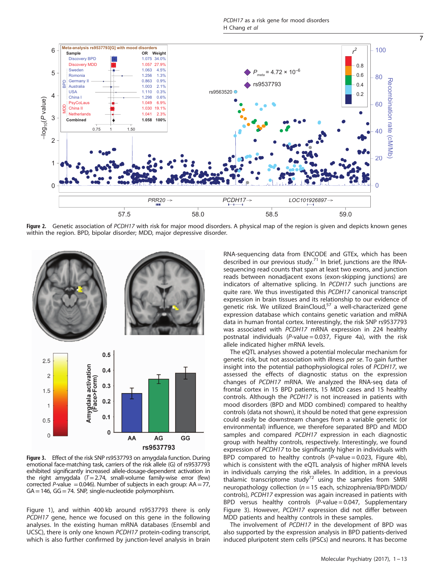PCDH17 as a risk gene for mood disorders H Chang et al

<span id="page-6-0"></span>

Figure 2. Genetic association of PCDH17 with risk for major mood disorders. A physical map of the region is given and depicts known genes within the region. BPD, bipolar disorder; MDD, major depressive disorder.



Figure 3. Effect of the risk SNP rs9537793 on amygdala function. During emotional face-matching task, carriers of the risk allele (G) of rs9537793 exhibited significantly increased allele-dosage-dependent activation in the right amygdala  $(T=2.74$ , small-volume family-wise error (few) corrected P-value = 0.046). Number of subjects in each group:  $AA = 77$ ,  $GA = 146$ ,  $GG = 74$ . SNP, single-nucleotide polymorphism.

Figure 1), and within 400 kb around rs9537793 there is only PCDH17 gene, hence we focused on this gene in the following analyses. In the existing human mRNA databases (Ensembl and UCSC), there is only one known PCDH17 protein-coding transcript, which is also further confirmed by junction-level analysis in brain RNA-sequencing data from ENCODE and GTEx, which has been described in our previous study.<sup>[71](#page-11-0)</sup> In brief, junctions are the RNAsequencing read counts that span at least two exons, and junction reads between nonadjacent exons (exon-skipping junctions) are indicators of alternative splicing. In PCDH17 such junctions are quite rare. We thus investigated this PCDH17 canonical transcript expression in brain tissues and its relationship to our evidence of genetic risk. We utilized BrainCloud,<sup>[57](#page-11-0)</sup> a well-characterized gene expression database which contains genetic variation and mRNA data in human frontal cortex. Interestingly, the risk SNP rs9537793 was associated with PCDH17 mRNA expression in 224 healthy postnatal individuals ( $P$ -value = 0.037, [Figure 4a](#page-7-0)), with the risk allele indicated higher mRNA levels.

The eQTL analyses showed a potential molecular mechanism for genetic risk, but not association with illness per se. To gain further insight into the potential pathophysiological roles of PCDH17, we assessed the effects of diagnostic status on the expression changes of PCDH17 mRNA. We analyzed the RNA-seq data of frontal cortex in 15 BPD patients, 15 MDD cases and 15 healthy controls. Although the PCDH17 is not increased in patients with mood disorders (BPD and MDD combined) compared to healthy controls (data not shown), it should be noted that gene expression could easily be downstream changes from a variable genetic (or environmental) influence, we therefore separated BPD and MDD samples and compared PCDH17 expression in each diagnostic group with healthy controls, respectively. Interestingly, we found expression of PCDH17 to be significantly higher in individuals with BPD compared to healthy controls  $(P-value = 0.023$ , [Figure 4b\)](#page-7-0), which is consistent with the eQTL analysis of higher mRNA levels in individuals carrying the risk alleles. In addition, in a previous<br>thalamic transcriptome study<sup>[72](#page-11-0)</sup> using the samples from SMRI neuropathology collection ( $n = 15$  each, schizophrenia/BPD/MDD/ controls), PCDH17 expression was again increased in patients with BPD versus healthy controls  $(P-value = 0.047,$  Supplementary Figure 3). However, PCDH17 expression did not differ between MDD patients and healthy controls in these samples.

The involvement of PCDH17 in the development of BPD was also supported by the expression analysis in BPD patients-derived induced pluripotent stem cells (iPSCs) and neurons. It has become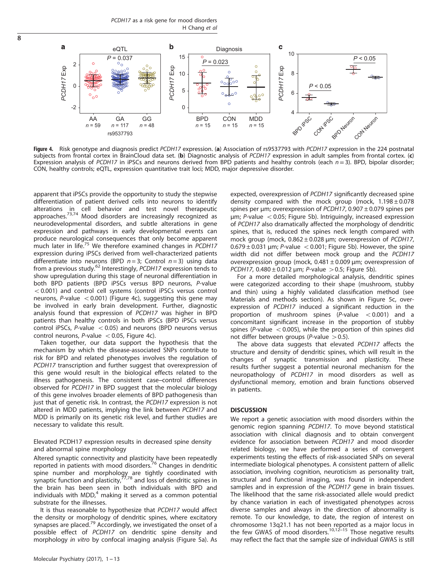PCDH17 as a risk gene for mood disorders H Chang et al

<span id="page-7-0"></span>8



Figure 4. Risk genotype and diagnosis predict PCDH17 expression. (a) Association of rs9537793 with PCDH17 expression in the 224 postnatal subjects from frontal cortex in BrainCloud data set. (b) Diagnostic analysis of PCDH17 expression in adult samples from frontal cortex. (c) Expression analysis of PCDH17 in iPSCs and neurons derived from BPD patients and healthy controls (each  $n = 3$ ). BPD, bipolar disorder; CON, healthy controls; eQTL, expression quantitative trait loci; MDD, major depressive disorder.

apparent that iPSCs provide the opportunity to study the stepwise differentiation of patient derived cells into neurons to identify alterations in cell behavior and test novel therapeutic approaches.<sup>[73](#page-11-0),[74](#page-11-0)</sup> Mood disorders are increasingly recognized as neurodevelopmental disorders, and subtle alterations in gene expression and pathways in early developmental events can produce neurological consequences that only become apparent much later in life.<sup>[75](#page-11-0)</sup> We therefore examined changes in PCDH17 expression during iPSCs derived from well-characterized patients differentiate into neurons (BPD  $n = 3$ ; Control  $n = 3$ ) using data from a previous study.<sup>[62](#page-11-0)</sup> Interestingly, PCDH17 expression tends to show upregulation during this stage of neuronal differentiation in both BPD patients (BPD iPSCs versus BPD neurons, P-value  $<$  0.001) and control cell systems (control iPSCs versus control neurons, P-value  $< 0.001$ ) (Figure 4c), suggesting this gene may be involved in early brain development. Further, diagnostic analysis found that expression of PCDH17 was higher in BPD patients than healthy controls in both iPSCs (BPD iPSCs versus control iPSCs, P-value  $< 0.05$ ) and neurons (BPD neurons versus control neurons,  $P$ -value < 0.05, Figure 4c).

Taken together, our data support the hypothesis that the mechanism by which the disease-associated SNPs contribute to risk for BPD and related phenotypes involves the regulation of PCDH17 transcription and further suggest that overexpression of this gene would result in the biological effects related to the illness pathogenesis. The consistent case–control differences observed for PCDH17 in BPD suggest that the molecular biology of this gene involves broader elements of BPD pathogenesis than just that of genetic risk. In contrast, the PCDH17 expression is not altered in MDD patients, implying the link between PCDH17 and MDD is primarily on its genetic risk level, and further studies are necessary to validate this result.

Elevated PCDH17 expression results in decreased spine density and abnormal spine morphology

Altered synaptic connectivity and plasticity have been repeatedly reported in patients with mood disorders.[76](#page-11-0) Changes in dendritic spine number and morphology are tightly coordinated with<br>synaptic function and plasticity,<sup>[77,78](#page-11-0)</sup> and loss of dendritic spines in the brain has been seen in both individuals with BPD and<br>individuals with MDD,<sup>[4](#page-10-0)</sup> making it served as a common potential substrate for the illnesses.

It is thus reasonable to hypothesize that PCDH17 would affect the density or morphology of dendritic spines, where excitatory synapses are placed.<sup>[79](#page-11-0)</sup> Accordingly, we investigated the onset of a possible effect of PCDH17 on dendritic spine density and morphology in vitro by confocal imaging analysis [\(Figure 5a\)](#page-8-0). As

expected, overexpression of PCDH17 significantly decreased spine density compared with the mock group (mock,  $1.198 \pm 0.078$ spines per μm; overexpression of PCDH17, 0.907 ± 0.079 spines per  $\mu$ m; P-value < 0.05; [Figure 5b\)](#page-8-0). Intriguingly, increased expression of PCDH17 also dramatically affected the morphology of dendritic spines, that is, reduced the spines neck length compared with mock group (mock,  $0.862 \pm 0.028$  um; overexpression of PCDH17,  $0.679 \pm 0.031$  µm; P-value  $< 0.001$ ; [Figure 5b\)](#page-8-0). However, the spine width did not differ between mock group and the PCDH17 overexpression group (mock, 0.481 ± 0.009 μm; overexpression of PCDH17,  $0.480 \pm 0.012$  µm; P-value > 0.5; [Figure 5b](#page-8-0)).

For a more detailed morphological analysis, dendritic spines were categorized according to their shape (mushroom, stubby and thin) using a highly validated classification method (see Materials and methods section). As shown in [Figure 5c,](#page-8-0) overexpression of PCDH17 induced a significant reduction in the proportion of mushroom spines  $(P-value < 0.001)$  and a concomitant significant increase in the proportion of stubby spines (P-value  $< 0.005$ ), while the proportion of thin spines did not differ between groups (P-value  $> 0.5$ ).

The above data suggests that elevated PCDH17 affects the structure and density of dendritic spines, which will result in the changes of synaptic transmission and plasticity. These results further suggest a potential neuronal mechanism for the neuropathology of PCDH17 in mood disorders as well as dysfunctional memory, emotion and brain functions observed in patients.

#### **DISCUSSION**

We report a genetic association with mood disorders within the genomic region spanning PCDH17. To move beyond statistical association with clinical diagnosis and to obtain convergent evidence for association between PCDH17 and mood disorder related biology, we have performed a series of convergent experiments testing the effects of risk-associated SNPs on several intermediate biological phenotypes. A consistent pattern of allelic association, involving cognition, neuroticism as personality trait, structural and functional imaging, was found in independent samples and in expression of the PCDH17 gene in brain tissues. The likelihood that the same risk-associated allele would predict by chance variation in each of investigated phenotypes across diverse samples and always in the direction of abnormality is remote. To our knowledge, to date, the region of interest on chromosome 13q21.1 has not been reported as a major locus in the few GWAS of mood disorders.<sup>[10](#page-10-0),12–[15](#page-10-0)</sup> Those negative results may reflect the fact that the sample size of individual GWAS is still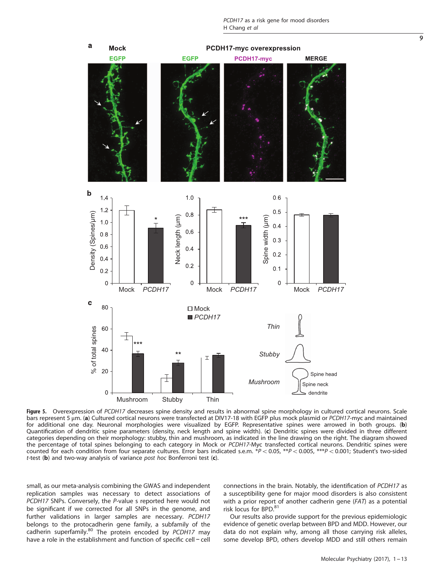<span id="page-8-0"></span>

Figure 5. Overexpression of PCDH17 decreases spine density and results in abnormal spine morphology in cultured cortical neurons. Scale bars represent 5 μm. (a) Cultured cortical neurons were transfected at DIV17-18 with EGFP plus mock plasmid or PCDH17-myc and maintained for additional one day. Neuronal morphologies were visualized by EGFP. Representative spines were arrowed in both groups. (b) Quantification of dendritic spine parameters (density, neck length and spine width). (c) Dendritic spines were divided in three different categories depending on their morphology: stubby, thin and mushroom, as indicated in the line drawing on the right. The diagram showed the percentage of total spines belonging to each category in Mock or PCDH17-Myc transfected cortical neurons. Dendritic spines were counted for each condition from four separate cultures. Error bars indicated s.e.m.  $*P < 0.05$ ,  $**P < 0.005$ ,  $***P < 0.001$ ; Student's two-sided t-test (b) and two-way analysis of variance post hoc Bonferroni test  $(c)$ .

small, as our meta-analysis combining the GWAS and independent replication samples was necessary to detect associations of PCDH17 SNPs. Conversely, the P-value s reported here would not be significant if we corrected for all SNPs in the genome, and further validations in larger samples are necessary. PCDH17 belongs to the protocadherin gene family, a subfamily of the cadherin superfamily.<sup>[80](#page-11-0)</sup> The protein encoded by PCDH17 may have a role in the establishment and function of specific cell − cell connections in the brain. Notably, the identification of PCDH17 as a susceptibility gene for major mood disorders is also consistent with a prior report of another cadherin gene (FAT) as a potential risk locus for BPD.<sup>81</sup>

Our results also provide support for the previous epidemiologic evidence of genetic overlap between BPD and MDD. However, our data do not explain why, among all those carrying risk alleles, some develop BPD, others develop MDD and still others remain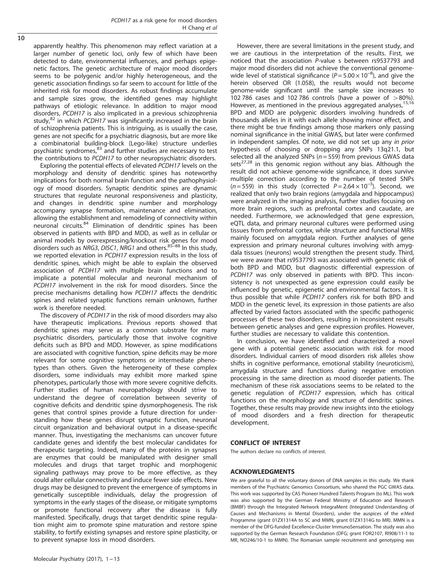apparently healthy. This phenomenon may reflect variation at a larger number of genetic loci, only few of which have been detected to date, environmental influences, and perhaps epigenetic factors. The genetic architecture of major mood disorders seems to be polygenic and/or highly heterogeneous, and the genetic association findings so far seem to account for little of the inherited risk for mood disorders. As robust findings accumulate and sample sizes grow, the identified genes may highlight pathways of etiologic relevance. In addition to major mood disorders, PCDH17 is also implicated in a previous schizophrenia study, $82$  in which PCDH17 was significantly increased in the brain of schizophrenia patients. This is intriguing, as is usually the case, genes are not specific for a psychiatric diagnosis, but are more like a combinatorial building-block (Lego-like) structure underlies psychiatric syndromes,<sup>[83](#page-11-0)</sup> and further studies are necessary to test the contributions to PCDH17 to other neuropsychiatric disorders.

Exploring the potential effects of elevated PCDH17 levels on the morphology and density of dendritic spines has noteworthy implications for both normal brain function and the pathophysiology of mood disorders. Synaptic dendritic spines are dynamic structures that regulate neuronal responsiveness and plasticity, and changes in dendritic spine number and morphology accompany synapse formation, maintenance and elimination, allowing the establishment and remodeling of connectivity within neuronal circuits.[84](#page-11-0) Elimination of dendritic spines has been observed in patients with BPD and MDD, as well as in cellular or animal models by overexpressing/knockout risk genes for mood disorders such as NRG3, DISC1, NRG1 and others.<sup>[85](#page-12-0)-88</sup> In this study. we reported elevation in PCDH17 expression results in the loss of dendritic spines, which might be able to explain the observed association of PCDH17 with multiple brain functions and to implicate a potential molecular and neuronal mechanism of PCDH17 involvement in the risk for mood disorders. Since the precise mechanisms detailing how PCDH17 affects the dendritic spines and related synaptic functions remain unknown, further work is therefore needed.

The discovery of PCDH17 in the risk of mood disorders may also have therapeutic implications. Previous reports showed that dendritic spines may serve as a common substrate for many psychiatric disorders, particularly those that involve cognitive deficits such as BPD and MDD. However, as spine modifications are associated with cognitive function, spine deficits may be more relevant for some cognitive symptoms or intermediate phenotypes than others. Given the heterogeneity of these complex disorders, some individuals may exhibit more marked spine phenotypes, particularly those with more severe cognitive deficits. Further studies of human neuropathology should strive to understand the degree of correlation between severity of cognitive deficits and dendritic spine dysmorphogenesis. The risk genes that control spines provide a future direction for understanding how these genes disrupt synaptic function, neuronal circuit organization and behavioral output in a disease-specific manner. Thus, investigating the mechanisms can uncover future candidate genes and identify the best molecular candidates for therapeutic targeting. Indeed, many of the proteins in synapses are enzymes that could be manipulated with designer small molecules and drugs that target trophic and morphogenic signaling pathways may prove to be more effective, as they could alter cellular connectivity and induce fewer side effects. New drugs may be designed to prevent the emergence of symptoms in genetically susceptible individuals, delay the progression of symptoms in the early stages of the disease, or mitigate symptoms or promote functional recovery after the disease is fully manifested. Specifically, drugs that target dendritic spine regulation might aim to promote spine maturation and restore spine stability, to fortify existing synapses and restore spine plasticity, or to prevent synapse loss in mood disorders.

wide level of statistical significance ( $P = 5.00 \times 10^{-8}$ ), and give the herein observed OR (1.058), the results would not become genome-wide significant until the sample size increases to 102 786 cases and 102 786 controls (have a power of  $>80\%$ ). However, as mentioned in the previous aggregated analyses,  $15,16$  $15,16$  $15,16$ BPD and MDD are polygenic disorders involving hundreds of thousands alleles in it with each allele showing minor effect, and there might be true findings among those markers only passing nominal significance in the initial GWAS, but later were confirmed in independent samples. Of note, we did not set up any in prior hypothesis of choosing or dropping any SNPs 13q21.1, but selected all the analyzed SNPs ( $n = 559$ ) from previous GWAS data sets<sup>[27,28](#page-10-0)</sup> in this genomic region without any bias. Although the result did not achieve genome-wide significance, it does survive multiple correction according to the number of tested SNPs  $(n = 559)$  in this study (corrected  $P = 2.64 \times 10^{-3}$ ). Second, we realized that only two brain regions (amygdala and hippocampus) were analyzed in the imaging analysis, further studies focusing on more brain regions, such as prefrontal cortex and caudate, are needed. Furthermore, we acknowledged that gene expression, eQTL data, and primary neuronal cultures were performed using tissues from prefrontal cortex, while structure and functional MRIs mainly focused on amygdala region. Further analyses of gene expression and primary neuronal cultures involving with amygdala tissues (neurons) would strengthen the present study. Third, we were aware that rs9537793 was associated with genetic risk of both BPD and MDD, but diagnostic differential expression of PCDH17 was only observed in patients with BPD. This inconsistency is not unexpected as gene expression could easily be influenced by genetic, epigenetic and environmental factors. It is thus possible that while PCDH17 confers risk for both BPD and MDD in the genetic level, its expression in those patients are also affected by varied factors associated with the specific pathogenic processes of these two disorders, resulting in inconsistent results between genetic analyses and gene expression profiles. However, further studies are necessary to validate this contention.

However, there are several limitations in the present study, and we are cautious in the interpretation of the results. First, we noticed that the association P-value s between rs9537793 and major mood disorders did not achieve the conventional genome-

In conclusion, we have identified and characterized a novel gene with a potential genetic association with risk for mood disorders. Individual carriers of mood disorders risk alleles show shifts in cognitive performance, emotional stability (neuroticism), amygdala structure and functions during negative emotion processing in the same direction as mood disorder patients. The mechanism of these risk associations seems to be related to the genetic regulation of PCDH17 expression, which has critical functions on the morphology and structure of dendritic spines. Together, these results may provide new insights into the etiology of mood disorders and a fresh direction for therapeutic development.

# CONFLICT OF INTEREST

The authors declare no conflicts of interest.

# ACKNOWLEDGMENTS

We are grateful to all the voluntary donors of DNA samples in this study. We thank members of the Psychiatric Genomics Consortium, who shared the PGC GWAS data. This work was supported by CAS Pioneer Hundred Talents Program (to ML). This work was also supported by the German Federal Ministry of Education and Research (BMBF) through the Integrated Network IntegraMent (Integrated Understanding of Causes and Mechanisms in Mental Disorders), under the auspices of the e:Med Programme (grant 01ZX1314A to SC and MMN, grant 01ZX1314G to MR). MMN is a member of the DFG-funded Excellence-Cluster ImmunoSensation. The study was also supported by the German Research Foundation (DFG; grant FOR2107, RI908/11-1 to MR, NO246/10-1 to MMN). The Romanian sample recruitment and genotyping was

 $\overline{10}$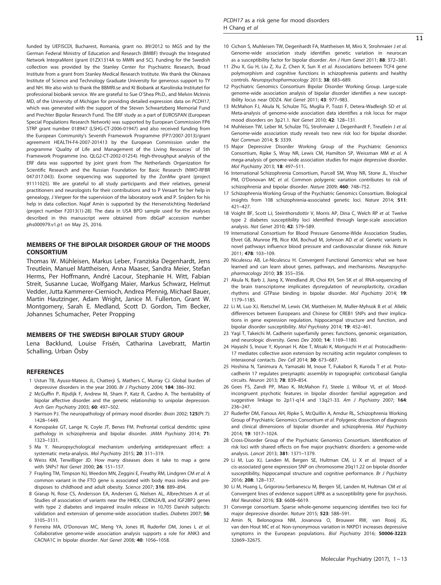<span id="page-10-0"></span>funded by UEFISCDI, Bucharest, Romania, grant no. 89/2012 to MGS and by the German Federal Ministry of Education and Research (BMBF) through the Integrated Network IntegraMent (grant 01ZX1314A to MMN and SC). Funding for the Swedish collection was provided by the Stanley Center for Psychiatric Research, Broad Institute from a grant from Stanley Medical Research Institute. We thank the Okinawa Institute of Science and Technology Graduate University for generous support to TY and NH. We also wish to thank the BBMRI.se and KI Biobank at Karolinska Institutet for professional biobank service. We are grateful to Sue O'Shea Ph.D., and Melvin McInnis MD, of the University of Michigan for providing detailed expression data on PCDH17, which was generated with the support of the Steven Schwartzberg Memorial Fund and Prechter Bipolar Research Fund. The ERF study as a part of EUROSPAN (European Special Populations Research Network) was supported by European Commission FP6 STRP grant number 018947 (LSHG-CT-2006-01947) and also received funding from the European Community's Seventh Framework Programme (FP7/2007-2013)/grant agreement HEALTH-F4-2007-201413 by the European Commission under the programme 'Quality of Life and Management of the Living Resources' of 5th Framework Programme (no. QLG2-CT-2002-01254). High-throughput analysis of the ERF data was supported by joint grant from The Netherlands Organization for Scientific Research and the Russian Foundation for Basic Research (NWO-RFBR 047.017.043). Exome sequencing was supported by the ZonMw grant (project 91111025). We are grateful to all study participants and their relatives, general practitioners and neurologists for their contributions and to P Veraart for her help in genealogy, J Vergeer for the supervision of the laboratory work and P. Snijders for his help in data collection. Najaf Amin is supported by the Hersenstichting Nederland (project number F2013(1)-28). The data in USA BPD sample used for the analyses described in this manuscript were obtained from dbGaP accession number phs000979.v1.p1 on May 25, 2016.

# MEMBERS OF THE BIPOLAR DISORDER GROUP OF THE MOODS CONSORTIUM

Thomas W. Mühleisen, Markus Leber, Franziska Degenhardt, Jens Treutlein, Manuel Mattheisen, Anna Maaser, Sandra Meier, Stefan Herms, Per Hoffmann, André Lacour, Stephanie H. Witt, Fabian Streit, Susanne Lucae, Wolfgang Maier, Markus Schwarz, Helmut Vedder, Jutta Kammerer-Ciernioch, Andrea Pfennig, Michael Bauer, Martin Hautzinger, Adam Wright, Janice M. Fullerton, Grant W. Montgomery, Sarah E. Medland, Scott D. Gordon, Tim Becker, Johannes Schumacher, Peter Propping

#### MEMBERS OF THE SWEDISH BIPOLAR STUDY GROUP

Lena Backlund, Louise Frisén, Catharina Lavebratt, Martin Schalling, Urban Ösby

#### REFERENCES

- 1 Ustun TB, Ayuso-Mateos JL, Chatterji S, Mathers C, Murray CJ. Global burden of depressive disorders in the year 2000. Br J Psychiatry 2004; 184: 386–392.
- 2 McGuffin P, Rijsdijk F, Andrew M, Sham P, Katz R, Cardno A. The heritability of bipolar affective disorder and the genetic relationship to unipolar depression. Arch Gen Psychiatry 2003; 60: 497–502.
- 3 Harrison PJ. The neuropathology of primary mood disorder. Brain 2002; 125(Pt 7): 1428–1449.
- 4 Konopaske GT, Lange N, Coyle JT, Benes FM. Prefrontal cortical dendritic spine pathology in schizophrenia and bipolar disorder. JAMA Psychiatry 2014; 71: 1323–1331.
- 5 Ma Y. Neuropsychological mechanism underlying antidepressant effect: a systematic meta-analysis. Mol Psychiatry 2015; 20: 311–319.
- 6 Weiss KM, Terwilliger JD. How many diseases does it take to map a gene with SNPs? Nat Genet 2000; 26: 151–157.
- 7 Frayling TM, Timpson NJ, Weedon MN, Zeggini E, Freathy RM, Lindgren CM et al. A common variant in the FTO gene is associated with body mass index and predisposes to childhood and adult obesity. Science 2007; 316: 889–894.
- 8 Grarup N, Rose CS, Andersson EA, Andersen G, Nielsen AL, Albrechtsen A et al. Studies of association of variants near the HHEX, CDKN2A/B, and IGF2BP2 genes with type 2 diabetes and impaired insulin release in 10,705 Danish subjects: validation and extension of genome-wide association studies. Diabetes 2007; 56: 3105–3111.
- 9 Ferreira MA, O'Donovan MC, Meng YA, Jones IR, Ruderfer DM, Jones L et al. Collaborative genome-wide association analysis supports a role for ANK3 and CACNA1C in bipolar disorder. Nat Genet 2008; 40: 1056–1058.
- 10 Cichon S, Muhleisen TW, Degenhardt FA, Mattheisen M, Miro X, Strohmaier J et al. Genome-wide association study identifies genetic variation in neurocan as a susceptibility factor for bipolar disorder. Am J Hum Genet 2011; 88: 372-381.
- 11 Zhu X, Gu H, Liu Z, Xu Z, Chen X, Sun X et al. Associations between TCF4 gene polymorphism and cognitive functions in schizophrenia patients and healthy controls. Neuropsychopharmacology 2013; 38: 683–689.
- 12 Psychiatric Genomics Consortium Bipolar Disorder Working Group. Large-scale genome-wide association analysis of bipolar disorder identifies a new susceptibility locus near ODZ4. Nat Genet 2011; 43: 977–983.
- 13 McMahon FJ, Akula N, Schulze TG, Muglia P, Tozzi F, Detera-Wadleigh SD et al. Meta-analysis of genome-wide association data identifies a risk locus for major mood disorders on 3p21.1. Nat Genet 2010; 42: 128–131.
- 14 Muhleisen TW, Leber M, Schulze TG, Strohmaier J, Degenhardt F, Treutlein J et al. Genome-wide association study reveals two new risk loci for bipolar disorder. Nat Commun 2014; 5: 3339.
- 15 Major Depressive Disorder Working Group of the Psychiatric Genomics Consortium, Ripke S, Wray NR, Lewis CM, Hamilton SP, Weissman MM et al. A mega-analysis of genome-wide association studies for major depressive disorder. Mol Psychiatry 2013; 18: 497–511.
- 16 International Schizophrenia Consortium, Purcell SM, Wray NR, Stone JL, Visscher PM, O'Donovan MC et al. Common polygenic variation contributes to risk of schizophrenia and bipolar disorder. Nature 2009; 460: 748–752.
- 17 Schizophrenia Working Group of the Psychiatric Genomics Consortium. Biological insights from 108 schizophrenia-associated genetic loci. Nature 2014; 511: 421–427.
- 18 Voight BF, Scott LJ, Steinthorsdottir V, Morris AP, Dina C, Welch RP et al. Twelve type 2 diabetes susceptibility loci identified through large-scale association analysis. Nat Genet 2010; 42: 579–589.
- 19 International Consortium for Blood Pressure Genome-Wide Association Studies, Ehret GB, Munroe PB, Rice KM, Bochud M, Johnson AD et al. Genetic variants in novel pathways influence blood pressure and cardiovascular disease risk. Nature 2011; 478: 103–109.
- 20 Niculescu AB, Le-Niculescu H. Convergent Functional Genomics: what we have learned and can learn about genes, pathways, and mechanisms. Neuropsychopharmacology 2010; 35: 355–356.
- 21 Akula N, Barb J, Jiang X, Wendland JR, Choi KH, Sen SK et al. RNA-sequencing of the brain transcriptome implicates dysregulation of neuroplasticity, circadian rhythms and GTPase binding in bipolar disorder. Mol Psychiatry 2014; 19: 1179–1185.
- 22 Li M, Luo XJ, Rietschel M, Lewis CM, Mattheisen M, Muller-Myhsok B et al. Allelic differences between Europeans and Chinese for CREB1 SNPs and their implications in gene expression regulation, hippocampal structure and function, and bipolar disorder susceptibility. Mol Psychiatry 2014; 19: 452–461.
- 23 Yagi T, Takeichi M. Cadherin superfamily genes: functions, genomic organization, and neurologic diversity. Genes Dev 2000; 14: 1169–1180.
- 24 Hayashi S, Inoue Y, Kiyonari H, Abe T, Misaki K, Moriguchi H et al. Protocadherin-17 mediates collective axon extension by recruiting actin regulator complexes to interaxonal contacts. Dev Cell 2014; 30: 673–687.
- 25 Hoshina N, Tanimura A, Yamasaki M, Inoue T, Fukabori R, Kuroda T et al. Protocadherin 17 regulates presynaptic assembly in topographic corticobasal Ganglia circuits. Neuron 2013; 78: 839–854.
- 26 Goes FS, Zandi PP, Miao K, McMahon FJ, Steele J, Willour VL et al. Moodincongruent psychotic features in bipolar disorder: familial aggregation and suggestive linkage to 2p11-q14 and 13q21-33. Am J Psychiatry 2007; 164: 236–247.
- 27 Ruderfer DM, Fanous AH, Ripke S, McQuillin A, Amdur RL, Schizophrenia Working Group of Psychiatric Genomics Consortium et al. Polygenic dissection of diagnosis and clinical dimensions of bipolar disorder and schizophrenia. Mol Psychiatry 2014; 19: 1017–1024.
- 28 Cross-Disorder Group of the Psychiatric Genomics Consortium. Identification of risk loci with shared effects on five major psychiatric disorders: a genome-wide analysis. Lancet 2013; 381: 1371–1379.
- 29 Li M, Luo XJ, Landen M, Bergen SE, Hultman CM, Li X et al. Impact of a cis-associated gene expression SNP on chromosome 20q11.22 on bipolar disorder susceptibility, hippocampal structure and cognitive performance. Br J Psychiatry 2016; 208: 128–137.
- 30 Li M, Huang L, Grigoroiu-Serbanescu M, Bergen SE, Landen M, Hultman CM et al. Convergent lines of evidence support LRP8 as a susceptibility gene for psychosis. Mol Neurobiol 2016; 53: 6608–6619.
- 31 Converge consortium. Sparse whole-genome sequencing identifies two loci for major depressive disorder. Nature 2015; 523: 588–591.
- 32 Amin N, Belonogova NM, Jovanova O, Brouwer RW, van Rooij JG, van den Hout MC et al. Non-synonymous variation in NKPD1 increases depressive symptoms in the European populations. Biol Psychiatry 2016; S0006-3223: 32669–32675.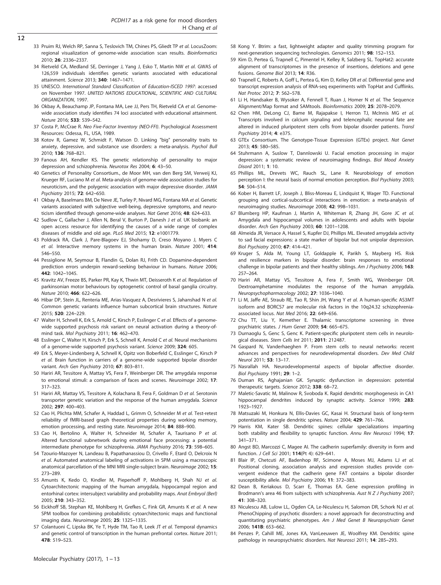- <span id="page-11-0"></span>33 Pruim RJ, Welch RP, Sanna S, Teslovich TM, Chines PS, Gliedt TP et al. LocusZoom: regional visualization of genome-wide association scan results. Bioinformatics 2010; 26: 2336–2337.
- 34 Rietveld CA, Medland SE, Derringer J, Yang J, Esko T, Martin NW et al. GWAS of 126,559 individuals identifies genetic variants associated with educational attainment. Science 2013; 340: 1467–1471.
- 35 UNESCO. International Standard Classification of Education-ISCED 1997: accessed on November 1997. UNITED NATIONS EDUCATIONAL, SCIENTIFIC AND CULTURAL ORGANIZATION, 1997.
- 36 Okbay A, Beauchamp JP, Fontana MA, Lee JJ, Pers TH, Rietveld CA et al. Genomewide association study identifies 74 loci associated with educational attainment. Nature 2016; 533: 539–542.
- 37 Costa P, McCrae R. Neo Five-Factor Inventory (NEO-FFI). Psychological Assessment Resources: Odessa, FL, USA, 1989.
- 38 Kotov R, Gamez W, Schmidt F, Watson D. Linking "big" personality traits to anxiety, depressive, and substance use disorders: a meta-analysis. Psychol Bull 2010; 136: 768–821.
- 39 Fanous AH, Kendler KS. The genetic relationship of personality to major depression and schizophrenia. Neurotox Res 2004; 6: 43–50.
- 40 Genetics of Personality Consortium., de Moor MH, van den Berg SM, Verweij KJ, Krueger RF, Luciano M et al. Meta-analysis of genome-wide association studies for neuroticism, and the polygenic association with major depressive disorder. JAMA Psychiatry 2015; 72: 642–650.
- 41 Okbay A, Baselmans BM, De Neve JE, Turley P, Nivard MG, Fontana MA et al. Genetic variants associated with subjective well-being, depressive symptoms, and neuroticism identified through genome-wide analyses. Nat Genet 2016; 48: 624-633.
- 42 Sudlow C, Gallacher J, Allen N, Beral V, Burton P, Danesh J et al. UK biobank: an open access resource for identifying the causes of a wide range of complex diseases of middle and old age. PLoS Med 2015; 12: e1001779.
- 43 Poldrack RA, Clark J, Pare-Blagoev EJ, Shohamy D, Creso Moyano J, Myers C et al. Interactive memory systems in the human brain. Nature 2001; 414: 546–550.
- 44 Pessiglione M, Seymour B, Flandin G, Dolan RJ, Frith CD. Dopamine-dependent prediction errors underpin reward-seeking behaviour in humans. Nature 2006; 442: 1042–1045.
- 45 Kravitz AV, Freeze BS, Parker PR, Kay K, Thwin MT, Deisseroth K et al. Regulation of parkinsonian motor behaviours by optogenetic control of basal ganglia circuitry. Nature 2010; 466: 622–626.
- 46 Hibar DP, Stein JL, Renteria ME, Arias-Vasquez A, Desrivieres S, Jahanshad N et al. Common genetic variants influence human subcortical brain structures. Nature 2015; 520: 224–229.
- 47 Walter H, Schnell K, Erk S, Arnold C, Kirsch P, Esslinger C et al. Effects of a genomewide supported psychosis risk variant on neural activation during a theory-ofmind task. Mol Psychiatry 2011; 16: 462–470.
- 48 Esslinger C, Walter H, Kirsch P, Erk S, Schnell K, Arnold C et al. Neural mechanisms of a genome-wide supported psychosis variant. Science 2009; 324: 605
- 49 Erk S, Meyer-Lindenberg A, Schnell K, Opitz von Boberfeld C, Esslinger C, Kirsch P et al. Brain function in carriers of a genome-wide supported bipolar disorder variant. Arch Gen Psychiatry 2010; 67: 803–811.
- 50 Hariri AR, Tessitore A, Mattay VS, Fera F, Weinberger DR. The amygdala response to emotional stimuli: a comparison of faces and scenes. Neuroimage 2002; 17: 317–323.
- 51 Hariri AR, Mattay VS, Tessitore A, Kolachana B, Fera F, Goldman D et al. Serotonin transporter genetic variation and the response of the human amygdala. Science 2002; 297: 400–403.
- 52 Cao H, Plichta MM, Schafer A, Haddad L, Grimm O, Schneider M et al. Test-retest reliability of fMRI-based graph theoretical properties during working memory, emotion processing, and resting state. Neuroimage 2014; 84: 888–900.
- 53 Cao H, Bertolino A, Walter H, Schneider M, Schafer A, Taurisano P et al. Altered functional subnetwork during emotional face processing: a potential intermediate phenotype for schizophrenia. JAMA Psychiatry 2016: 73: 598–605.
- 54 Tzourio-Mazoyer N, Landeau B, Papathanassiou D, Crivello F, Etard O, Delcroix N et al. Automated anatomical labeling of activations in SPM using a macroscopic anatomical parcellation of the MNI MRI single-subject brain. Neuroimage 2002; 15: 273–289.
- 55 Amunts K, Kedo O, Kindler M, Pieperhoff P, Mohlberg H, Shah NJ et al. Cytoarchitectonic mapping of the human amygdala, hippocampal region and entorhinal cortex: intersubject variability and probability maps. Anat Embryol (Berl) 2005; 210: 343–352.
- 56 Eickhoff SB, Stephan KE, Mohlberg H, Grefkes C, Fink GR, Amunts K et al. A new SPM toolbox for combining probabilistic cytoarchitectonic maps and functional imaging data. Neuroimage 2005; 25: 1325–1335.
- 57 Colantuoni C, Lipska BK, Ye T, Hyde TM, Tao R, Leek JT et al. Temporal dynamics and genetic control of transcription in the human prefrontal cortex. Nature 2011; 478: 519–523.
- 58 Kong Y. Btrim: a fast, lightweight adapter and quality trimming program for next-generation sequencing technologies. Genomics 2011; 98: 152–153.
- 59 Kim D, Pertea G, Trapnell C, Pimentel H, Kelley R, Salzberg SL. TopHat2: accurate alignment of transcriptomes in the presence of insertions, deletions and gene fusions. Genome Biol 2013; 14: R36.
- 60 Trapnell C, Roberts A, Goff L, Pertea G, Kim D, Kelley DR et al. Differential gene and transcript expression analysis of RNA-seq experiments with TopHat and Cufflinks. Nat Protoc 2012; 7: 562–578.
- 61 Li H, Handsaker B, Wysoker A, Fennell T, Ruan J, Homer N et al. The Sequence Alignment/Map format and SAMtools. Bioinformatics 2009; 25: 2078–2079.
- 62 Chen HM, DeLong CJ, Bame M, Rajapakse I, Herron TJ, McInnis MG et al. Transcripts involved in calcium signaling and telencephalic neuronal fate are altered in induced pluripotent stem cells from bipolar disorder patients. Transl Psychiatry 2014; 4: e375.
- 63 GTEx Consortium. The Genotype-Tissue Expression (GTEx) project. Nat Genet 2013; 45: 580–585.
- 64 Stuhrmann A, Suslow T, Dannlowski U. Facial emotion processing in major depression: a systematic review of neuroimaging findings. Biol Mood Anxiety Disord 2011; 1: 10.
- 65 Phillips ML, Drevets WC, Rauch SL, Lane R. Neurobiology of emotion perception I: the neural basis of normal emotion perception. Biol Psychiatry 2003; 54: 504–514.
- 66 Kober H, Barrett LF, Joseph J, Bliss-Moreau E, Lindquist K, Wager TD. Functional grouping and cortical-subcortical interactions in emotion: a meta-analysis of neuroimaging studies. Neuroimage 2008; 42: 998–1031.
- 67 Blumberg HP, Kaufman J, Martin A, Whiteman R, Zhang JH, Gore JC et al. Amygdala and hippocampal volumes in adolescents and adults with bipolar disorder. Arch Gen Psychiatry 2003; 60: 1201–1208.
- 68 Almeida JR, Versace A, Hassel S, Kupfer DJ, Phillips ML. Elevated amygdala activity to sad facial expressions: a state marker of bipolar but not unipolar depression. Biol Psychiatry 2010; 67: 414–421.
- 69 Kruger S, Alda M, Young LT, Goldapple K, Parikh S, Mayberg HS. Risk and resilience markers in bipolar disorder: brain responses to emotional challenge in bipolar patients and their healthy siblings. Am J Psychiatry 2006; 163: 257–264.
- 70 Hariri AR, Mattay VS, Tessitore A, Fera F, Smith WG, Weinberger DR. Dextroamphetamine modulates the response of the human amygdala. Neuropsychopharmacology 2002; 27: 1036–1040.
- 71 Li M, Jaffe AE, Straub RE, Tao R, Shin JH, Wang Y et al. A human-specific AS3MT isoform and BORCS7 are molecular risk factors in the 10q24.32 schizophreniaassociated locus. Nat Med 2016; 22: 649–656.
- 72 Chu TT, Liu Y, Kemether E. Thalamic transcriptome screening in three psychiatric states. J Hum Genet 2009; 54: 665–675.
- 73 Durnaoglu S, Genc S, Genc K. Patient-specific pluripotent stem cells in neurological diseases. Stem Cells Int 2011; 2011: 212487.
- 74 Gaspard N, Vanderhaeghen P. From stem cells to neural networks: recent advances and perspectives for neurodevelopmental disorders. Dev Med Child Neurol 2011; 53: 13–17.
- 75 Nasrallah HA. Neurodevelopmental aspects of bipolar affective disorder. Biol Psychiatry 1991; 29: 1–2.
- 76 Duman RS, Aghajanian GK. Synaptic dysfunction in depression: potential therapeutic targets. Science 2012; 338: 68–72.
- 77 Maletic-Savatic M, Malinow R, Svoboda K. Rapid dendritic morphogenesis in CA1 hippocampal dendrites induced by synaptic activity. Science 1999; 283: 1923–1927.
- 78 Matsuzaki M, Honkura N, Ellis-Davies GC, Kasai H. Structural basis of long-term potentiation in single dendritic spines. Nature 2004; 429: 761–766.
- 79 Harris KM, Kater SB. Dendritic spines: cellular specializations imparting both stability and flexibility to synaptic function. Annu Rev Neurosci 1994; 17: 341–371.
- 80 Angst BD, Marcozzi C, Magee AI. The cadherin superfamily: diversity in form and function. J Cell Sci 2001; 114(Pt 4): 629–641.
- 81 Blair IP, Chetcuti AF, Badenhop RF, Scimone A, Moses MJ, Adams LJ et al. Positional cloning, association analysis and expression studies provide convergent evidence that the cadherin gene FAT contains a bipolar disorder susceptibility allele. Mol Psychiatry 2006; 11: 372–383.
- 82 Dean B, Keriakous D, Scarr E, Thomas EA. Gene expression profiling in Brodmann's area 46 from subjects with schizophrenia. Aust N Z J Psychiatry 2007;  $41.308 - 320$
- 83 Niculescu AB, Lulow LL, Ogden CA, Le-Niculescu H, Salomon DR, Schork NJ et al. PhenoChipping of psychotic disorders: a novel approach for deconstructing and quantitating psychiatric phenotypes. Am J Med Genet B Neuropsychiatr Genet 2006; 141B: 653–662.
- 84 Penzes P, Cahill ME, Jones KA, VanLeeuwen JE, Woolfrey KM. Dendritic spine pathology in neuropsychiatric disorders. Nat Neurosci 2011; 14: 285–293.